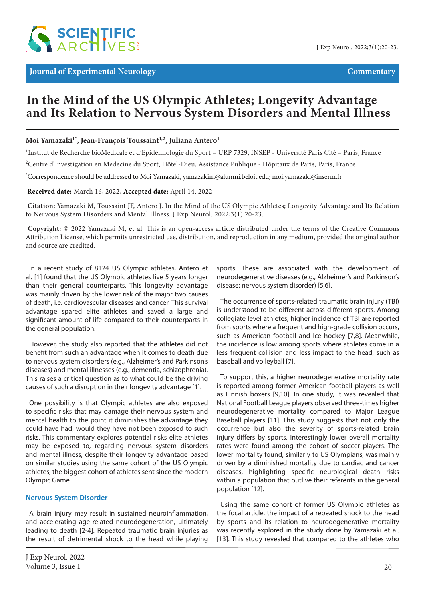

# **In the Mind of the US Olympic Athletes; Longevity Advantage and Its Relation to Nervous System Disorders and Mental Illness**

## Moi Yamazaki<sup>1\*</sup>, Jean-François Toussaint<sup>1,2</sup>, Juliana Antero<sup>1</sup>

<sup>1</sup>Institut de Recherche bioMédicale et d'Epidémiologie du Sport - URP 7329, INSEP - Université Paris Cité - Paris, France

<sup>2</sup>Centre d'Investigation en Médecine du Sport, Hôtel-Dieu, Assistance Publique - Hôpitaux de Paris, Paris, France

\* Correspondence should be addressed to Moi Yamazaki, yamazakim@alumni.beloit.edu; moi.yamazaki@inserm.fr

### **Received date:** March 16, 2022, **Accepted date:** April 14, 2022

**Citation:** Yamazaki M, Toussaint JF, Antero J. In the Mind of the US Olympic Athletes; Longevity Advantage and Its Relation to Nervous System Disorders and Mental Illness. J Exp Neurol. 2022;3(1):20-23.

**Copyright:** © 2022 Yamazaki M, et al. This is an open-access article distributed under the terms of the Creative Commons Attribution License, which permits unrestricted use, distribution, and reproduction in any medium, provided the original author and source are credited.

In a recent study of 8124 US Olympic athletes, Antero et al. [1] found that the US Olympic athletes live 5 years longer than their general counterparts. This longevity advantage was mainly driven by the lower risk of the major two causes of death, i.e. cardiovascular diseases and cancer. This survival advantage spared elite athletes and saved a large and significant amount of life compared to their counterparts in the general population.

However, the study also reported that the athletes did not benefit from such an advantage when it comes to death due to nervous system disorders (e.g., Alzheimer's and Parkinson's diseases) and mental illnesses (e.g., dementia, schizophrenia). This raises a critical question as to what could be the driving causes of such a disruption in their longevity advantage [1].

One possibility is that Olympic athletes are also exposed to specific risks that may damage their nervous system and mental health to the point it diminishes the advantage they could have had, would they have not been exposed to such risks. This commentary explores potential risks elite athletes may be exposed to, regarding nervous system disorders and mental illness, despite their longevity advantage based on similar studies using the same cohort of the US Olympic athletes, the biggest cohort of athletes sent since the modern Olympic Game.

## **Nervous System Disorder**

A brain injury may result in sustained neuroinflammation, and accelerating age-related neurodegeneration, ultimately leading to death [2-4]. Repeated traumatic brain injuries as the result of detrimental shock to the head while playing sports. These are associated with the development of neurodegenerative diseases (e.g., Alzheimer's and Parkinson's disease; nervous system disorder) [5,6].

The occurrence of sports-related traumatic brain injury (TBI) is understood to be different across different sports. Among collegiate level athletes, higher incidence of TBI are reported from sports where a frequent and high-grade collision occurs, such as American football and Ice hockey [7,8]. Meanwhile, the incidence is low among sports where athletes come in a less frequent collision and less impact to the head, such as baseball and volleyball [7].

To support this, a higher neurodegenerative mortality rate is reported among former American football players as well as Finnish boxers [9,10]. In one study, it was revealed that National Football League players observed three-times higher neurodegenerative mortality compared to Major League Baseball players [11]. This study suggests that not only the occurrence but also the severity of sports-related brain injury differs by sports. Interestingly lower overall mortality rates were found among the cohort of soccer players. The lower mortality found, similarly to US Olympians, was mainly driven by a diminished mortality due to cardiac and cancer diseases, highlighting specific neurological death risks within a population that outlive their referents in the general population [12].

Using the same cohort of former US Olympic athletes as the focal article, the impact of a repeated shock to the head by sports and its relation to neurodegenerative mortality was recently explored in the study done by Yamazaki et al. [13]. This study revealed that compared to the athletes who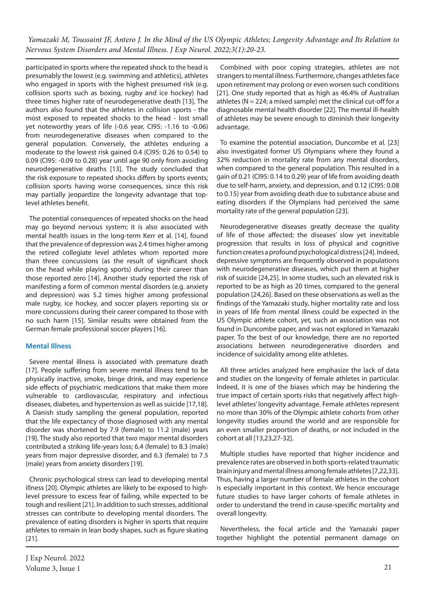*Yamazaki M, Toussaint JF, Antero J. In the Mind of the US Olympic Athletes; Longevity Advantage and Its Relation to Nervous System Disorders and Mental Illness. J Exp Neurol. 2022;3(1):20-23.*

participated in sports where the repeated shock to the head is presumably the lowest (e.g. swimming and athletics), athletes who engaged in sports with the highest presumed risk (e.g. collision sports such as boxing, rugby and ice hockey) had three times higher rate of neurodegenerative death [13]. The authors also found that the athletes in collision sports - the most exposed to repeated shocks to the head - lost small yet noteworthy years of life (-0.6 year, CI95: -1.16 to -0.06) from neurodegenerative diseases when compared to the general population. Conversely, the athletes enduring a moderate to the lowest risk gained 0.4 (CI95: 0.26 to 0.54) to 0.09 (CI95: -0.09 to 0.28) year until age 90 only from avoiding neurodegenerative deaths [13]. The study concluded that the risk exposure to repeated shocks differs by sports events; collision sports having worse consequences, since this risk may partially jeopardize the longevity advantage that toplevel athletes benefit.

The potential consequences of repeated shocks on the head may go beyond nervous system; it is also associated with mental health issues in the long-term Kerr et al. [14]. found that the prevalence of depression was 2.4 times higher among the retired collegiate level athletes whom reported more than three concussions (as the result of significant shock on the head while playing sports) during their career than those reported zero [14]. Another study reported the risk of manifesting a form of common mental disorders (e.g. anxiety and depression) was 5.2 times higher among professional male rugby, ice hockey, and soccer players reporting six or more concussions during their career compared to those with no such harm [15]. Similar results were obtained from the German female professional soccer players [16].

# **Mental Illness**

Severe mental illness is associated with premature death [17]. People suffering from severe mental illness tend to be physically inactive, smoke, binge drink, and may experience side effects of psychiatric medications that make them more vulnerable to cardiovascular, respiratory and infectious diseases, diabetes, and hypertension as well as suicide [17,18]. A Danish study sampling the general population, reported that the life expectancy of those diagnosed with any mental disorder was shortened by 7.9 (female) to 11.2 (male) years [19]. The study also reported that two major mental disorders contributed a striking life-years loss; 6.4 (female) to 8.3 (male) years from major depressive disorder, and 6.3 (female) to 7.5 (male) years from anxiety disorders [19].

Chronic psychological stress can lead to developing mental illness [20]. Olympic athletes are likely to be exposed to highlevel pressure to excess fear of failing, while expected to be tough and resilient [21]. In addition to such stresses, additional stresses can contribute to developing mental disorders. The prevalence of eating disorders is higher in sports that require athletes to remain in lean body shapes, such as figure skating [21].

Combined with poor coping strategies, athletes are not strangers to mental illness. Furthermore, changes athletes face upon retirement may prolong or even worsen such conditions [21]. One study reported that as high as 46.4% of Australian athletes ( $N = 224$ ; a mixed sample) met the clinical cut-off for a diagnosable mental health disorder [22]. The mental ill-health of athletes may be severe enough to diminish their longevity advantage.

To examine the potential association, Duncombe et al. [23] also investigated former US Olympians where they found a 32% reduction in mortality rate from any mental disorders, when compared to the general population. This resulted in a gain of 0.21 (CI95: 0.14 to 0.29) year of life from avoiding death due to self-harm, anxiety, and depression, and 0.12 (CI95: 0.08 to 0.15) year from avoiding death due to substance abuse and eating disorders if the Olympians had perceived the same mortality rate of the general population [23].

Neurodegenerative diseases greatly decrease the quality of life of those affected; the diseases' slow yet inevitable progression that results in loss of physical and cognitive function creates a profound psychological distress [24]. Indeed, depressive symptoms are frequently observed in populations with neurodegenerative diseases, which put them at higher risk of suicide [24,25]. In some studies, such an elevated risk is reported to be as high as 20 times, compared to the general population [24,26]. Based on these observations as well as the findings of the Yamazaki study, higher mortality rate and loss in years of life from mental illness could be expected in the US Olympic athlete cohort, yet, such an association was not found in Duncombe paper, and was not explored in Yamazaki paper. To the best of our knowledge, there are no reported associations between neurodegenerative disorders and incidence of suicidality among elite athletes.

All three articles analyzed here emphasize the lack of data and studies on the longevity of female athletes in particular. Indeed, it is one of the biases which may be hindering the true impact of certain sports risks that negatively affect highlevel athletes' longevity advantage. Female athletes represent no more than 30% of the Olympic athlete cohorts from other longevity studies around the world and are responsible for an even smaller proportion of deaths, or not included in the cohort at all [13,23,27-32].

Multiple studies have reported that higher incidence and prevalence rates are observed in both sports-related traumatic brain injury and mental illness among female athletes [7,22,33]. Thus, having a larger number of female athletes in the cohort is especially important in this context. We hence encourage future studies to have larger cohorts of female athletes in order to understand the trend in cause-specific mortality and overall longevity.

Nevertheless, the focal article and the Yamazaki paper together highlight the potential permanent damage on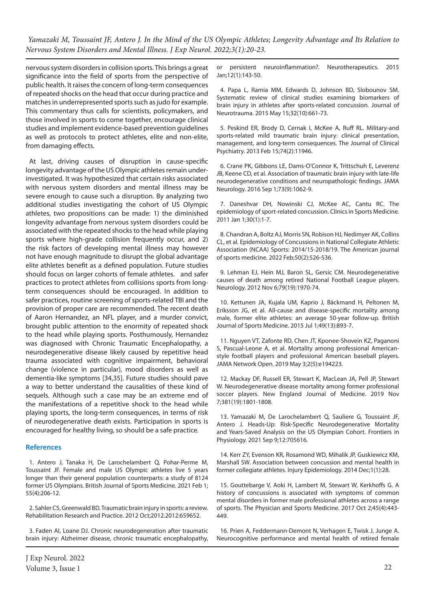*Yamazaki M, Toussaint JF, Antero J. In the Mind of the US Olympic Athletes; Longevity Advantage and Its Relation to Nervous System Disorders and Mental Illness. J Exp Neurol. 2022;3(1):20-23.*

nervous system disorders in collision sports. This brings a great significance into the field of sports from the perspective of public health. It raises the concern of long-term consequences of repeated shocks on the head that occur during practice and matches in underrepresented sports such as judo for example. This commentary thus calls for scientists, policymakers, and those involved in sports to come together, encourage clinical studies and implement evidence-based prevention guidelines as well as protocols to protect athletes, elite and non-elite, from damaging effects.

At last, driving causes of disruption in cause-specific longevity advantage of the US Olympic athletes remain underinvestigated. It was hypothesized that certain risks associated with nervous system disorders and mental illness may be severe enough to cause such a disruption. By analyzing two additional studies investigating the cohort of US Olympic athletes, two propositions can be made: 1) the diminished longevity advantage from nervous system disorders could be associated with the repeated shocks to the head while playing sports where high-grade collision frequently occur, and 2) the risk factors of developing mental illness may however not have enough magnitude to disrupt the global advantage elite athletes benefit as a defined population. Future studies should focus on larger cohorts of female athletes. and safer practices to protect athletes from collisions sports from longterm consequences should be encouraged. In addition to safer practices, routine screening of sports-related TBI and the provision of proper care are recommended. The recent death of Aaron Hernandez, an NFL player, and a murder convict, brought public attention to the enormity of repeated shock to the head while playing sports. Posthumously, Hernandez was diagnosed with Chronic Traumatic Encephalopathy, a neurodegenerative disease likely caused by repetitive head trauma associated with cognitive impairment, behavioral change (violence in particular), mood disorders as well as dementia-like symptoms [34,35]. Future studies should pave a way to better understand the causalities of these kind of sequels. Although such a case may be an extreme end of the manifestations of a repetitive shock to the head while playing sports, the long-term consequences, in terms of risk of neurodegenerative death exists. Participation in sports is encouraged for healthy living, so should be a safe practice.

### **References**

1. Antero J, Tanaka H, De Larochelambert Q, Pohar-Perme M, Toussaint JF. Female and male US Olympic athletes live 5 years longer than their general population counterparts: a study of 8124 former US Olympians. British Journal of Sports Medicine. 2021 Feb 1; 55(4):206-12.

2. Sahler CS, Greenwald BD. Traumatic brain injury in sports: a review. Rehabilitation Research and Practice. 2012 Oct;2012.2012:659652.

3. Faden AI, Loane DJ. Chronic neurodegeneration after traumatic brain injury: Alzheimer disease, chronic traumatic encephalopathy,

or persistent neuroinflammation?. Neurotherapeutics. 2015 Jan;12(1):143-50.

4. Papa L, Ramia MM, Edwards D, Johnson BD, Slobounov SM. Systematic review of clinical studies examining biomarkers of brain injury in athletes after sports-related concussion. Journal of Neurotrauma. 2015 May 15;32(10):661-73.

5. Peskind ER, Brody D, Cernak I, McKee A, Ruff RL. Military-and sports-related mild traumatic brain injury: clinical presentation, management, and long-term consequences. The Journal of Clinical Psychiatry. 2013 Feb 15;74(2):11946.

6. Crane PK, Gibbons LE, Dams-O'Connor K, Trittschuh E, Leverenz JB, Keene CD, et al. Association of traumatic brain injury with late-life neurodegenerative conditions and neuropathologic findings. JAMA Neurology. 2016 Sep 1;73(9):1062-9.

7. Daneshvar DH, Nowinski CJ, McKee AC, Cantu RC. The epidemiology of sport-related concussion. Clinics in Sports Medicine. 2011 Jan 1;30(1):1-7.

8. Chandran A, Boltz AJ, Morris SN, Robison HJ, Nedimyer AK, Collins CL, et al. Epidemiology of Concussions in National Collegiate Athletic Association (NCAA) Sports: 2014/15-2018/19. The American journal of sports medicine. 2022 Feb;50(2):526-536.

9. Lehman EJ, Hein MJ, Baron SL, Gersic CM. Neurodegenerative causes of death among retired National Football League players. Neurology. 2012 Nov 6;79(19):1970-74.

10. Kettunen JA, Kujala UM, Kaprio J, Bäckmand H, Peltonen M, Eriksson JG, et al. All-cause and disease-specific mortality among male, former elite athletes: an average 50-year follow-up. British Journal of Sports Medicine. 2015 Jul 1;49(13):893-7.

11. Nguyen VT, Zafonte RD, Chen JT, Kponee-Shovein KZ, Paganoni S, Pascual-Leone A, et al. Mortality among professional Americanstyle football players and professional American baseball players. JAMA Network Open. 2019 May 3;2(5):e194223.

12. Mackay DF, Russell ER, Stewart K, MacLean JA, Pell JP, Stewart W. Neurodegenerative disease mortality among former professional soccer players. New England Journal of Medicine. 2019 Nov 7;381(19):1801-1808.

13. Yamazaki M, De Larochelambert Q, Sauliere G, Toussaint JF, Antero J. Heads-Up: Risk-Specific Neurodegenerative Mortality and Years-Saved Analysis on the US Olympian Cohort. Frontiers in Physiology. 2021 Sep 9;12:705616.

14. Kerr ZY, Evenson KR, Rosamond WD, Mihalik JP, Guskiewicz KM, Marshall SW. Association between concussion and mental health in former collegiate athletes. Injury Epidemiology. 2014 Dec;1(1):28.

15. Gouttebarge V, Aoki H, Lambert M, Stewart W, Kerkhoffs G. A history of concussions is associated with symptoms of common mental disorders in former male professional athletes across a range of sports. The Physician and Sports Medicine. 2017 Oct 2;45(4):443- 449.

16. Prien A, Feddermann-Demont N, Verhagen E, Twisk J, Junge A. Neurocognitive performance and mental health of retired female